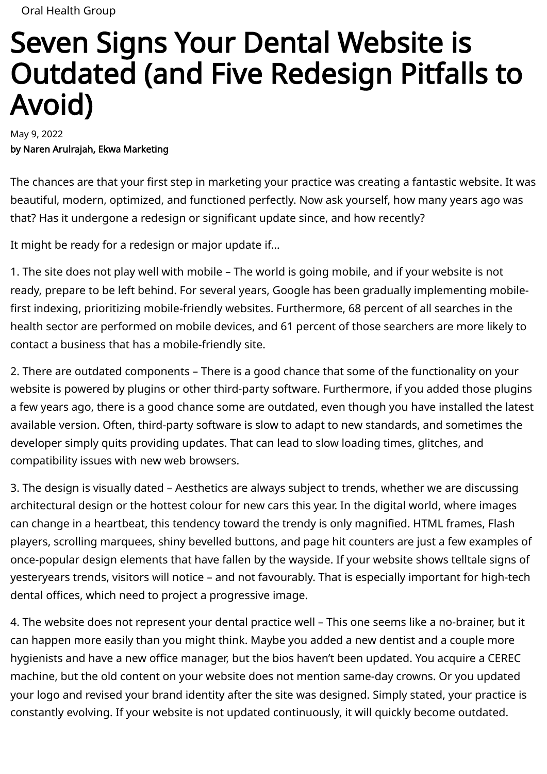# Seven Signs Your Dental Website is Outdated (and Five Redesign Pitfalls to Avoid)

May 9, 2022 by Naren Arulrajah, Ekwa Marketing

The chances are that your first step in marketing your practice was creating a fantastic website. It was beautiful, modern, optimized, and functioned perfectly. Now ask yourself, how many years ago was that? Has it undergone a redesign or significant update since, and how recently?

It might be ready for a redesign or major update if…

1. The site does not play well with mobile – The world is going mobile, and if your website is not ready, prepare to be left behind. For several years, Google has been gradually implementing mobile first indexing, prioritizing mobile-friendly websites. Furthermore, [68 percent](https://www.thewebmaster.com/seo/articles/60-percent-online-searches-mobile-devices/) of all searches in the health sector are performed on mobile devices, and [61 percent](https://www.brightlocal.com/research/61-of-mobile-users-more-likely-to-contact-a-local-business-with-a-mobile-site/) of those searchers are more likely to contact a business that has a mobile-friendly site.

2. There are outdated components – There is a good chance that some of the functionality on your website is powered by plugins or other third-party software. Furthermore, if you added those plugins a few years ago, there is a good chance some are outdated, even though you have installed the latest available version. Often, third-party software is slow to adapt to new standards, and sometimes the developer simply quits providing updates. That can lead to slow loading times, glitches, and compatibility issues with new web browsers.

3. The design is visually dated – Aesthetics are always subject to trends, whether we are discussing architectural design or the hottest colour for new cars this year. In the digital world, where images can change in a heartbeat, this tendency toward the trendy is only magnified. HTML frames, Flash players, scrolling marquees, shiny bevelled buttons, and page hit counters are just a few examples of once-popular design elements that have [fallen by the wayside](https://digitalsynopsis.com/design/old-90s-web-design-trends/). If your website shows telltale signs of yesteryears trends, visitors will notice – and not favourably. That is especially important for high-tech dental offices, which need to project a progressive image.

4. The website does not represent your dental practice well – This one seems like a no-brainer, but it can happen more easily than you might think. Maybe you added a new dentist and a couple more hygienists and have a new office manager, but the bios haven't been updated. You acquire a CEREC machine, but the old content on your website does not mention same-day crowns. Or you updated your logo and revised your brand identity after the site was designed. Simply stated, your practice is constantly evolving. If your website is not updated continuously, it will quickly become outdated.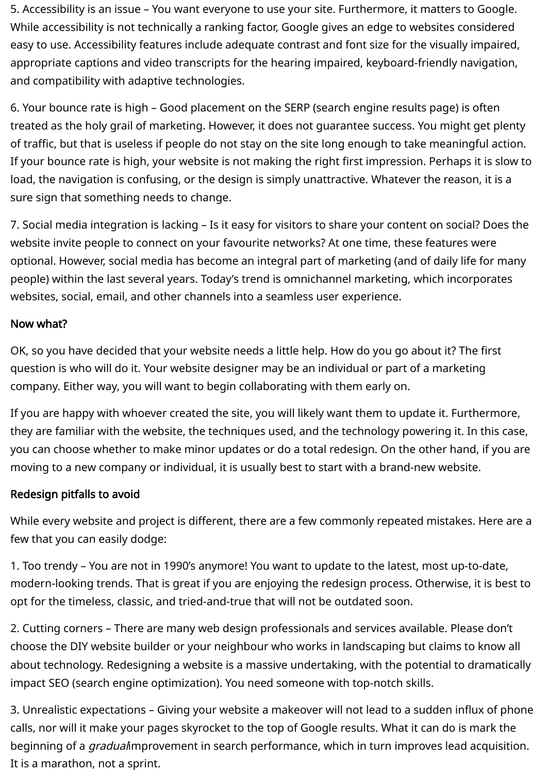5. Accessibility is an issue – You want everyone to use your site. Furthermore, it matters to Google. While accessibility is not technically a ranking factor, Google gives an edge to websites considered easy to use. Accessibility features include adequate contrast and font size for the visually impaired, appropriate captions and video transcripts for the hearing impaired, keyboard-friendly navigation, and compatibility with adaptive technologies.

6. Your bounce rate is high – Good placement on the SERP (search engine results page) is often treated as the holy grail of marketing. However, it does not guarantee success. You might get plenty of traffic, but that is useless if people do not stay on the site long enough to take meaningful action. If your bounce rate is high, your website is not making the right first impression. Perhaps it is slow to load, the navigation is confusing, or the design is simply unattractive. Whatever the reason, it is a sure sign that something needs to change.

7. Social media integration is lacking – Is it easy for visitors to share your content on social? Does the website invite people to connect on your favourite networks? At one time, these features were optional. However, social media has become an integral part of marketing (and of daily life for many people) within the last several years. Today's trend is omnichannel marketing, which incorporates websites, social, email, and other channels into a seamless user experience.

# Now what?

OK, so you have decided that your website needs a little help. How do you go about it? The first question is who will do it. Your website designer may be an individual or part of a marketing company. Either way, you will want to begin collaborating with them early on.

If you are happy with whoever created the site, you will likely want them to update it. Furthermore, they are familiar with the website, the techniques used, and the technology powering it. In this case, you can choose whether to make minor updates or do a total redesign. On the other hand, if you are moving to a new company or individual, it is usually best to start with a brand-new website.

# Redesign pitfalls to avoid

While every website and project is different, there are a few commonly repeated mistakes. Here are a few that you can easily dodge:

1. Too trendy – You are not in 1990's anymore! You want to update to the latest, most up-to-date, modern-looking trends. That is great if you are enjoying the redesign process. Otherwise, it is best to opt for the timeless, classic, and tried-and-true that will not be outdated soon.

2. Cutting corners – There are many web design professionals and services available. Please don't choose the DIY website builder or your neighbour who works in landscaping but claims to know all [about technology. Redesigning a website is a massive undertaking, with the potential to dramatically](https://www.searchenginejournal.com/avoid-seo-disaster-website-redesign/232093/#close) impact SEO (search engine optimization). You need someone with top-notch skills.

3. Unrealistic expectations – Giving your website a makeover will not lead to a sudden influx of phone calls, nor will it make your pages skyrocket to the top of Google results. What it can do is mark the beginning of a *gradual* improvement in search performance, which in turn improves lead acquisition. It is a marathon, not a sprint.